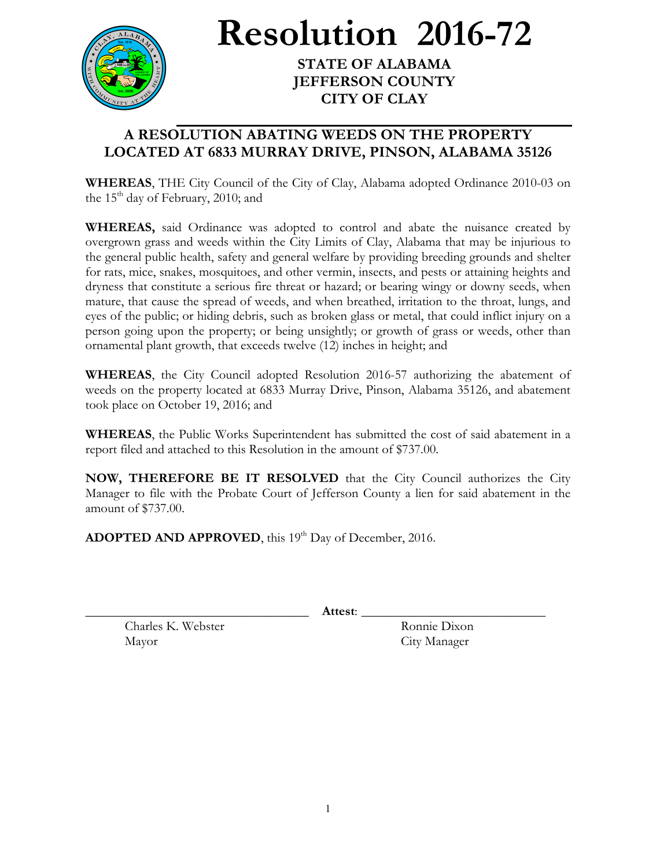

**Resolution 2016-72**

**STATE OF ALABAMA JEFFERSON COUNTY CITY OF CLAY**

## **A RESOLUTION ABATING WEEDS ON THE PROPERTY LOCATED AT 6833 MURRAY DRIVE, PINSON, ALABAMA 35126**

**WHEREAS**, THE City Council of the City of Clay, Alabama adopted Ordinance 2010-03 on the  $15<sup>th</sup>$  day of February, 2010; and

**WHEREAS,** said Ordinance was adopted to control and abate the nuisance created by overgrown grass and weeds within the City Limits of Clay, Alabama that may be injurious to the general public health, safety and general welfare by providing breeding grounds and shelter for rats, mice, snakes, mosquitoes, and other vermin, insects, and pests or attaining heights and dryness that constitute a serious fire threat or hazard; or bearing wingy or downy seeds, when mature, that cause the spread of weeds, and when breathed, irritation to the throat, lungs, and eyes of the public; or hiding debris, such as broken glass or metal, that could inflict injury on a person going upon the property; or being unsightly; or growth of grass or weeds, other than ornamental plant growth, that exceeds twelve (12) inches in height; and

**WHEREAS**, the City Council adopted Resolution 2016-57 authorizing the abatement of weeds on the property located at 6833 Murray Drive, Pinson, Alabama 35126, and abatement took place on October 19, 2016; and

**WHEREAS**, the Public Works Superintendent has submitted the cost of said abatement in a report filed and attached to this Resolution in the amount of \$737.00.

**NOW, THEREFORE BE IT RESOLVED** that the City Council authorizes the City Manager to file with the Probate Court of Jefferson County a lien for said abatement in the amount of \$737.00.

ADOPTED AND APPROVED, this 19<sup>th</sup> Day of December, 2016.

\_\_\_\_\_\_\_\_\_\_\_\_\_\_\_\_\_\_\_\_\_\_\_\_\_\_\_\_\_\_\_\_\_\_ **Attest**: \_\_\_\_\_\_\_\_\_\_\_\_\_\_\_\_\_\_\_\_\_\_\_\_\_\_\_\_

Charles K. Webster Ronnie Dixon Mayor City Manager